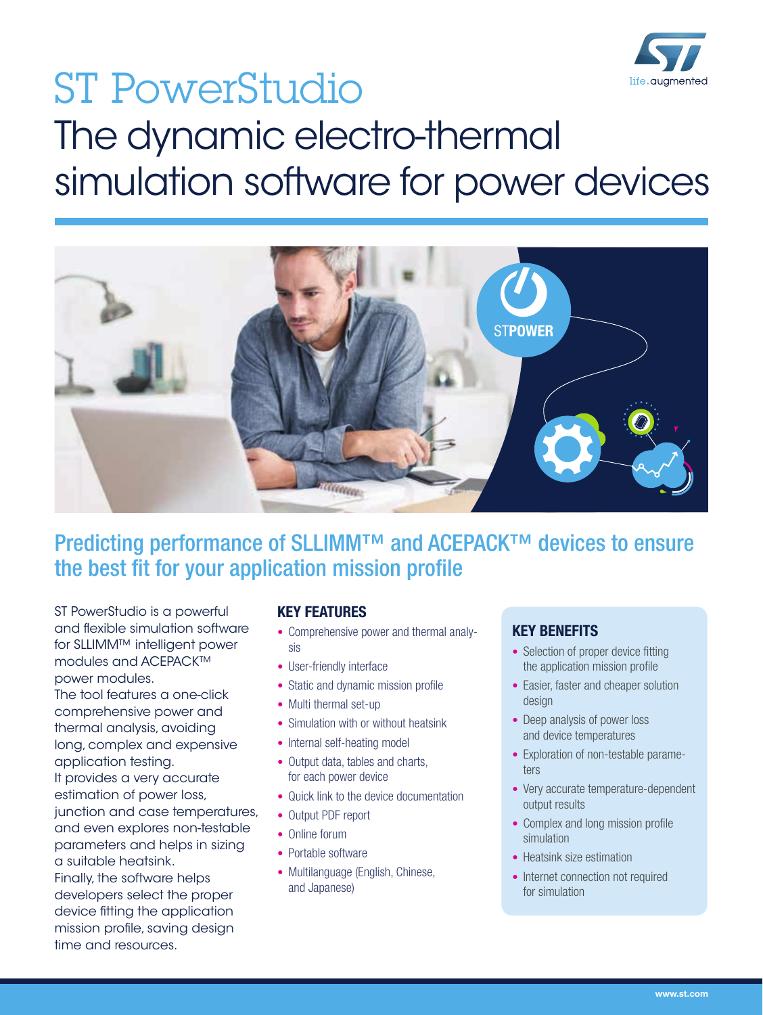

# ST PowerStudio life, auamented The dynamic electro-thermal simulation software for power devices



Predicting performance of SLLIMM™ and ACEPACK™ devices to ensure the best fit for your application mission profile

ST PowerStudio is a powerful and flexible simulation software for SLLIMM™ intelligent power modules and ACEPACK™ power modules.

The tool features a one-click comprehensive power and thermal analysis, avoiding long, complex and expensive application testing. It provides a very accurate estimation of power loss, junction and case temperatures, and even explores non-testable parameters and helps in sizing a suitable heatsink. Finally, the software helps developers select the proper device fitting the application mission profile, saving design time and resources.

### KEY FEATURES

- Comprehensive power and thermal analysis
- User-friendly interface
- Static and dynamic mission profile
- Multi thermal set-up
- Simulation with or without heatsink
- Internal self-heating model
- Output data, tables and charts, for each power device
- Quick link to the device documentation
- Output PDF report
- Online forum
- Portable software
- Multilanguage (English, Chinese, and Japanese)

## KEY BENEFITS

- Selection of proper device fitting the application mission profile
- Easier, faster and cheaper solution design
- Deep analysis of power loss and device temperatures
- Exploration of non-testable parameters
- Very accurate temperature-dependent output results
- Complex and long mission profile simulation
- Heatsink size estimation
- Internet connection not required for simulation